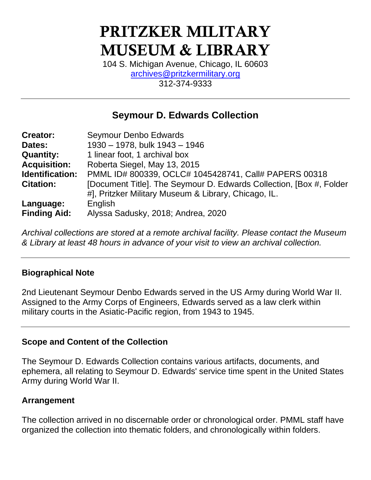# PRITZKER MILITARY MUSEUM & LIBRARY

104 S. Michigan Avenue, Chicago, IL 60603 [archives@pritzkermilitary.org](mailto:archives@pritzkermilitary.org) 312-374-9333

# **Seymour D. Edwards Collection**

| <b>Creator:</b>     | Seymour Denbo Edwards                                                |
|---------------------|----------------------------------------------------------------------|
| Dates:              | 1930 - 1978, bulk 1943 - 1946                                        |
| <b>Quantity:</b>    | 1 linear foot, 1 archival box                                        |
| <b>Acquisition:</b> | Roberta Siegel, May 13, 2015                                         |
| Identification:     | PMML ID# 800339, OCLC# 1045428741, Call# PAPERS 00318                |
| <b>Citation:</b>    | [Document Title]. The Seymour D. Edwards Collection, [Box #, Folder] |
|                     | #], Pritzker Military Museum & Library, Chicago, IL.                 |
| Language:           | English                                                              |
| <b>Finding Aid:</b> | Alyssa Sadusky, 2018; Andrea, 2020                                   |

*Archival collections are stored at a remote archival facility. Please contact the Museum & Library at least 48 hours in advance of your visit to view an archival collection.*

# **Biographical Note**

2nd Lieutenant Seymour Denbo Edwards served in the US Army during World War II. Assigned to the Army Corps of Engineers, Edwards served as a law clerk within military courts in the Asiatic-Pacific region, from 1943 to 1945.

### **Scope and Content of the Collection**

The Seymour D. Edwards Collection contains various artifacts, documents, and ephemera, all relating to Seymour D. Edwards' service time spent in the United States Army during World War II.

### **Arrangement**

The collection arrived in no discernable order or chronological order. PMML staff have organized the collection into thematic folders, and chronologically within folders.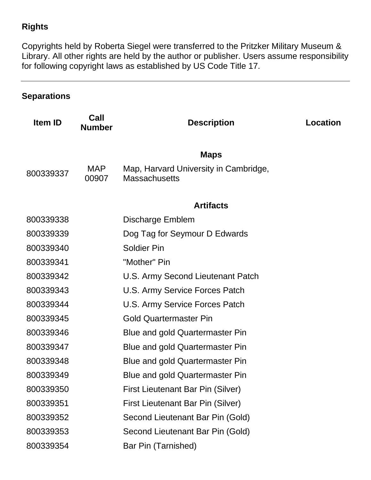# **Rights**

Copyrights held by Roberta Siegel were transferred to the Pritzker Military Museum & Library. All other rights are held by the author or publisher. Users assume responsibility for following copyright laws as established by US Code Title 17.

# **Separations**

| Call<br><b>Number</b> | <b>Description</b>                                            | Location |
|-----------------------|---------------------------------------------------------------|----------|
|                       | <b>Maps</b>                                                   |          |
| <b>MAP</b><br>00907   | Map, Harvard University in Cambridge,<br><b>Massachusetts</b> |          |
|                       | <b>Artifacts</b>                                              |          |
|                       | Discharge Emblem                                              |          |
|                       | Dog Tag for Seymour D Edwards                                 |          |
|                       | <b>Soldier Pin</b>                                            |          |
|                       | "Mother" Pin                                                  |          |
|                       | U.S. Army Second Lieutenant Patch                             |          |
|                       | U.S. Army Service Forces Patch                                |          |
|                       | U.S. Army Service Forces Patch                                |          |
|                       | <b>Gold Quartermaster Pin</b>                                 |          |
|                       | Blue and gold Quartermaster Pin                               |          |
|                       | <b>Blue and gold Quartermaster Pin</b>                        |          |
|                       | Blue and gold Quartermaster Pin                               |          |
|                       | <b>Blue and gold Quartermaster Pin</b>                        |          |
|                       | <b>First Lieutenant Bar Pin (Silver)</b>                      |          |
|                       | First Lieutenant Bar Pin (Silver)                             |          |
|                       | Second Lieutenant Bar Pin (Gold)                              |          |
|                       | Second Lieutenant Bar Pin (Gold)                              |          |
|                       | Bar Pin (Tarnished)                                           |          |
|                       |                                                               |          |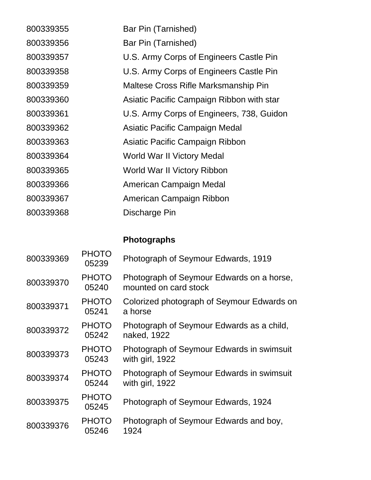| 800339355 | Bar Pin (Tarnished)                       |
|-----------|-------------------------------------------|
| 800339356 | Bar Pin (Tarnished)                       |
| 800339357 | U.S. Army Corps of Engineers Castle Pin   |
| 800339358 | U.S. Army Corps of Engineers Castle Pin   |
| 800339359 | Maltese Cross Rifle Marksmanship Pin      |
| 800339360 | Asiatic Pacific Campaign Ribbon with star |
| 800339361 | U.S. Army Corps of Engineers, 738, Guidon |
| 800339362 | Asiatic Pacific Campaign Medal            |
| 800339363 | Asiatic Pacific Campaign Ribbon           |
| 800339364 | World War II Victory Medal                |
| 800339365 | World War II Victory Ribbon               |
| 800339366 | American Campaign Medal                   |
| 800339367 | American Campaign Ribbon                  |
| 800339368 | Discharge Pin                             |

# **Photographs**

| 800339369 | PHOTO<br>05239        | Photograph of Seymour Edwards, 1919                                |
|-----------|-----------------------|--------------------------------------------------------------------|
| 800339370 | <b>PHOTO</b><br>05240 | Photograph of Seymour Edwards on a horse,<br>mounted on card stock |
| 800339371 | <b>PHOTO</b><br>05241 | Colorized photograph of Seymour Edwards on<br>a horse              |
| 800339372 | <b>PHOTO</b><br>05242 | Photograph of Seymour Edwards as a child,<br>naked, 1922           |
| 800339373 | <b>PHOTO</b><br>05243 | Photograph of Seymour Edwards in swimsuit<br>with girl, 1922       |
| 800339374 | <b>PHOTO</b><br>05244 | Photograph of Seymour Edwards in swimsuit<br>with girl, 1922       |
| 800339375 | PHOTO<br>05245        | Photograph of Seymour Edwards, 1924                                |
| 800339376 | <b>PHOTO</b><br>05246 | Photograph of Seymour Edwards and boy,<br>1924                     |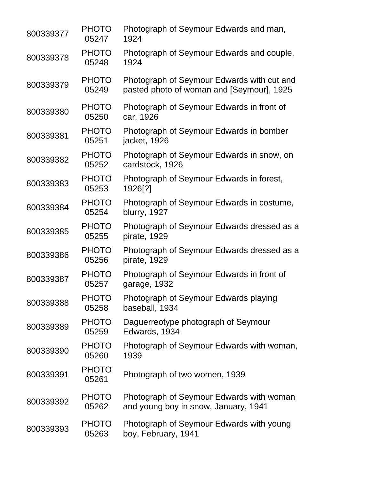| 800339377 | <b>PHOTO</b><br>05247 | Photograph of Seymour Edwards and man,<br>1924                                          |
|-----------|-----------------------|-----------------------------------------------------------------------------------------|
| 800339378 | <b>PHOTO</b><br>05248 | Photograph of Seymour Edwards and couple,<br>1924                                       |
| 800339379 | <b>PHOTO</b><br>05249 | Photograph of Seymour Edwards with cut and<br>pasted photo of woman and [Seymour], 1925 |
| 800339380 | <b>PHOTO</b><br>05250 | Photograph of Seymour Edwards in front of<br>car, 1926                                  |
| 800339381 | <b>PHOTO</b><br>05251 | Photograph of Seymour Edwards in bomber<br>jacket, 1926                                 |
| 800339382 | <b>PHOTO</b><br>05252 | Photograph of Seymour Edwards in snow, on<br>cardstock, 1926                            |
| 800339383 | <b>PHOTO</b><br>05253 | Photograph of Seymour Edwards in forest,<br>1926[?]                                     |
| 800339384 | <b>PHOTO</b><br>05254 | Photograph of Seymour Edwards in costume,<br>blurry, 1927                               |
| 800339385 | <b>PHOTO</b><br>05255 | Photograph of Seymour Edwards dressed as a<br>pirate, 1929                              |
| 800339386 | <b>PHOTO</b><br>05256 | Photograph of Seymour Edwards dressed as a<br>pirate, 1929                              |
| 800339387 | <b>PHOTO</b><br>05257 | Photograph of Seymour Edwards in front of<br>garage, 1932                               |
| 800339388 | <b>PHOTO</b><br>05258 | Photograph of Seymour Edwards playing<br>baseball, 1934                                 |
| 800339389 | <b>PHOTO</b><br>05259 | Daguerreotype photograph of Seymour<br>Edwards, 1934                                    |
| 800339390 | <b>PHOTO</b><br>05260 | Photograph of Seymour Edwards with woman,<br>1939                                       |
| 800339391 | <b>PHOTO</b><br>05261 | Photograph of two women, 1939                                                           |
| 800339392 | <b>PHOTO</b><br>05262 | Photograph of Seymour Edwards with woman<br>and young boy in snow, January, 1941        |
| 800339393 | <b>PHOTO</b><br>05263 | Photograph of Seymour Edwards with young<br>boy, February, 1941                         |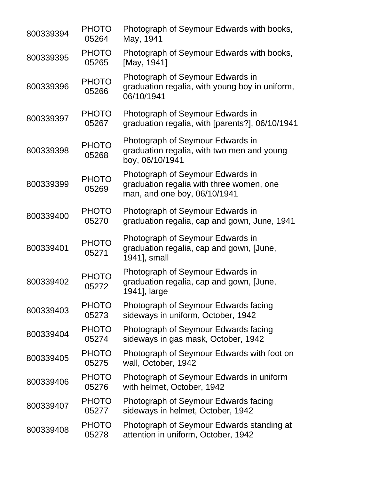| 800339394 | <b>PHOTO</b><br>05264 | Photograph of Seymour Edwards with books,<br>May, 1941                                                       |
|-----------|-----------------------|--------------------------------------------------------------------------------------------------------------|
| 800339395 | <b>PHOTO</b><br>05265 | Photograph of Seymour Edwards with books,<br>[May, 1941]                                                     |
| 800339396 | <b>PHOTO</b><br>05266 | Photograph of Seymour Edwards in<br>graduation regalia, with young boy in uniform,<br>06/10/1941             |
| 800339397 | <b>PHOTO</b><br>05267 | Photograph of Seymour Edwards in<br>graduation regalia, with [parents?], 06/10/1941                          |
| 800339398 | <b>PHOTO</b><br>05268 | Photograph of Seymour Edwards in<br>graduation regalia, with two men and young<br>boy, 06/10/1941            |
| 800339399 | <b>PHOTO</b><br>05269 | Photograph of Seymour Edwards in<br>graduation regalia with three women, one<br>man, and one boy, 06/10/1941 |
| 800339400 | <b>PHOTO</b><br>05270 | Photograph of Seymour Edwards in<br>graduation regalia, cap and gown, June, 1941                             |
| 800339401 | <b>PHOTO</b><br>05271 | Photograph of Seymour Edwards in<br>graduation regalia, cap and gown, [June,<br>1941], small                 |
| 800339402 | <b>PHOTO</b><br>05272 | Photograph of Seymour Edwards in<br>graduation regalia, cap and gown, [June,<br>1941], large                 |
| 800339403 | <b>PHOTO</b><br>05273 | Photograph of Seymour Edwards facing<br>sideways in uniform, October, 1942                                   |
| 800339404 | <b>PHOTO</b><br>05274 | Photograph of Seymour Edwards facing<br>sideways in gas mask, October, 1942                                  |
| 800339405 | <b>PHOTO</b><br>05275 | Photograph of Seymour Edwards with foot on<br>wall, October, 1942                                            |
| 800339406 | <b>PHOTO</b><br>05276 | Photograph of Seymour Edwards in uniform<br>with helmet, October, 1942                                       |
| 800339407 | <b>PHOTO</b><br>05277 | Photograph of Seymour Edwards facing<br>sideways in helmet, October, 1942                                    |
| 800339408 | <b>PHOTO</b><br>05278 | Photograph of Seymour Edwards standing at<br>attention in uniform, October, 1942                             |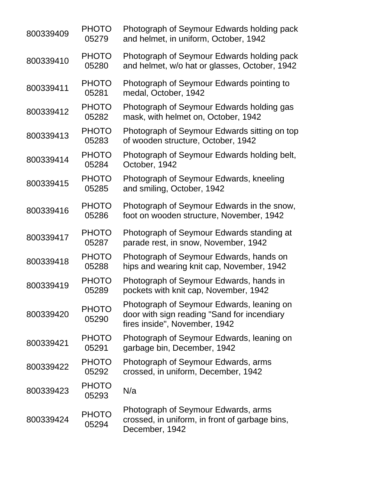| 800339409 | <b>PHOTO</b><br>05279 | Photograph of Seymour Edwards holding pack<br>and helmet, in uniform, October, 1942                                       |
|-----------|-----------------------|---------------------------------------------------------------------------------------------------------------------------|
| 800339410 | <b>PHOTO</b><br>05280 | Photograph of Seymour Edwards holding pack<br>and helmet, w/o hat or glasses, October, 1942                               |
| 800339411 | <b>PHOTO</b><br>05281 | Photograph of Seymour Edwards pointing to<br>medal, October, 1942                                                         |
| 800339412 | <b>PHOTO</b><br>05282 | Photograph of Seymour Edwards holding gas<br>mask, with helmet on, October, 1942                                          |
| 800339413 | <b>PHOTO</b><br>05283 | Photograph of Seymour Edwards sitting on top<br>of wooden structure, October, 1942                                        |
| 800339414 | <b>PHOTO</b><br>05284 | Photograph of Seymour Edwards holding belt,<br>October, 1942                                                              |
| 800339415 | <b>PHOTO</b><br>05285 | Photograph of Seymour Edwards, kneeling<br>and smiling, October, 1942                                                     |
| 800339416 | <b>PHOTO</b><br>05286 | Photograph of Seymour Edwards in the snow,<br>foot on wooden structure, November, 1942                                    |
| 800339417 | <b>PHOTO</b><br>05287 | Photograph of Seymour Edwards standing at<br>parade rest, in snow, November, 1942                                         |
| 800339418 | <b>PHOTO</b><br>05288 | Photograph of Seymour Edwards, hands on<br>hips and wearing knit cap, November, 1942                                      |
| 800339419 | <b>PHOTO</b><br>05289 | Photograph of Seymour Edwards, hands in<br>pockets with knit cap, November, 1942                                          |
| 800339420 | <b>PHOTO</b><br>05290 | Photograph of Seymour Edwards, leaning on<br>door with sign reading "Sand for incendiary<br>fires inside", November, 1942 |
| 800339421 | <b>PHOTO</b><br>05291 | Photograph of Seymour Edwards, leaning on<br>garbage bin, December, 1942                                                  |
| 800339422 | <b>PHOTO</b><br>05292 | Photograph of Seymour Edwards, arms<br>crossed, in uniform, December, 1942                                                |
| 800339423 | <b>PHOTO</b><br>05293 | N/a                                                                                                                       |
| 800339424 | <b>PHOTO</b><br>05294 | Photograph of Seymour Edwards, arms<br>crossed, in uniform, in front of garbage bins,<br>December, 1942                   |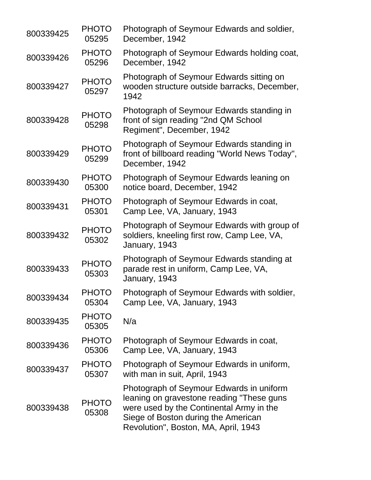| 800339425 | <b>PHOTO</b><br>05295 | Photograph of Seymour Edwards and soldier,<br>December, 1942                                                                                                                                                     |
|-----------|-----------------------|------------------------------------------------------------------------------------------------------------------------------------------------------------------------------------------------------------------|
| 800339426 | <b>PHOTO</b><br>05296 | Photograph of Seymour Edwards holding coat,<br>December, 1942                                                                                                                                                    |
| 800339427 | <b>PHOTO</b><br>05297 | Photograph of Seymour Edwards sitting on<br>wooden structure outside barracks, December,<br>1942                                                                                                                 |
| 800339428 | <b>PHOTO</b><br>05298 | Photograph of Seymour Edwards standing in<br>front of sign reading "2nd QM School"<br>Regiment", December, 1942                                                                                                  |
| 800339429 | <b>PHOTO</b><br>05299 | Photograph of Seymour Edwards standing in<br>front of billboard reading "World News Today",<br>December, 1942                                                                                                    |
| 800339430 | <b>PHOTO</b><br>05300 | Photograph of Seymour Edwards leaning on<br>notice board, December, 1942                                                                                                                                         |
| 800339431 | <b>PHOTO</b><br>05301 | Photograph of Seymour Edwards in coat,<br>Camp Lee, VA, January, 1943                                                                                                                                            |
| 800339432 | <b>PHOTO</b><br>05302 | Photograph of Seymour Edwards with group of<br>soldiers, kneeling first row, Camp Lee, VA,<br>January, 1943                                                                                                      |
| 800339433 | <b>PHOTO</b><br>05303 | Photograph of Seymour Edwards standing at<br>parade rest in uniform, Camp Lee, VA,<br>January, 1943                                                                                                              |
| 800339434 | <b>PHOTO</b><br>05304 | Photograph of Seymour Edwards with soldier,<br>Camp Lee, VA, January, 1943                                                                                                                                       |
| 800339435 | <b>PHOTO</b><br>05305 | N/a                                                                                                                                                                                                              |
| 800339436 | <b>PHOTO</b><br>05306 | Photograph of Seymour Edwards in coat,<br>Camp Lee, VA, January, 1943                                                                                                                                            |
| 800339437 | <b>PHOTO</b><br>05307 | Photograph of Seymour Edwards in uniform,<br>with man in suit, April, 1943                                                                                                                                       |
| 800339438 | <b>PHOTO</b><br>05308 | Photograph of Seymour Edwards in uniform<br>leaning on gravestone reading "These guns<br>were used by the Continental Army in the<br>Siege of Boston during the American<br>Revolution", Boston, MA, April, 1943 |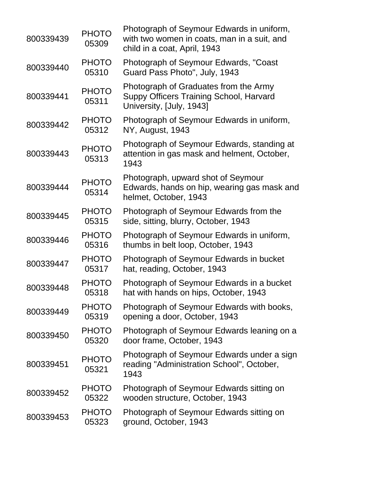| 800339439 | <b>PHOTO</b><br>05309 | Photograph of Seymour Edwards in uniform,<br>with two women in coats, man in a suit, and<br>child in a coat, April, 1943 |
|-----------|-----------------------|--------------------------------------------------------------------------------------------------------------------------|
| 800339440 | <b>PHOTO</b><br>05310 | Photograph of Seymour Edwards, "Coast<br>Guard Pass Photo", July, 1943                                                   |
| 800339441 | <b>PHOTO</b><br>05311 | Photograph of Graduates from the Army<br>Suppy Officers Training School, Harvard<br>University, [July, 1943]             |
| 800339442 | <b>PHOTO</b><br>05312 | Photograph of Seymour Edwards in uniform,<br>NY, August, 1943                                                            |
| 800339443 | <b>PHOTO</b><br>05313 | Photograph of Seymour Edwards, standing at<br>attention in gas mask and helment, October,<br>1943                        |
| 800339444 | <b>PHOTO</b><br>05314 | Photograph, upward shot of Seymour<br>Edwards, hands on hip, wearing gas mask and<br>helmet, October, 1943               |
| 800339445 | <b>PHOTO</b><br>05315 | Photograph of Seymour Edwards from the<br>side, sitting, blurry, October, 1943                                           |
| 800339446 | <b>PHOTO</b><br>05316 | Photograph of Seymour Edwards in uniform,<br>thumbs in belt loop, October, 1943                                          |
| 800339447 | <b>PHOTO</b><br>05317 | Photograph of Seymour Edwards in bucket<br>hat, reading, October, 1943                                                   |
| 800339448 | <b>PHOTO</b><br>05318 | Photograph of Seymour Edwards in a bucket<br>hat with hands on hips, October, 1943                                       |
| 800339449 | <b>PHOTO</b><br>05319 | Photograph of Seymour Edwards with books,<br>opening a door, October, 1943                                               |
| 800339450 | <b>PHOTO</b><br>05320 | Photograph of Seymour Edwards leaning on a<br>door frame, October, 1943                                                  |
| 800339451 | <b>PHOTO</b><br>05321 | Photograph of Seymour Edwards under a sign<br>reading "Administration School", October,<br>1943                          |
| 800339452 | <b>PHOTO</b><br>05322 | Photograph of Seymour Edwards sitting on<br>wooden structure, October, 1943                                              |
| 800339453 | <b>PHOTO</b><br>05323 | Photograph of Seymour Edwards sitting on<br>ground, October, 1943                                                        |
|           |                       |                                                                                                                          |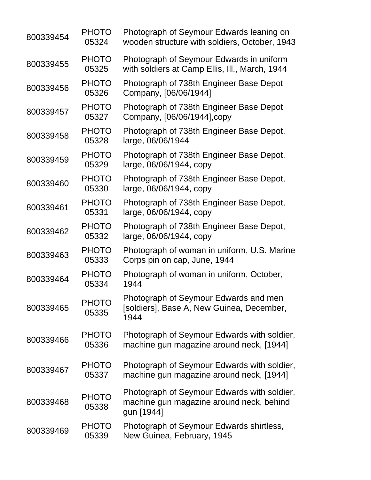| 800339454 | <b>PHOTO</b><br>05324 | Photograph of Seymour Edwards leaning on<br>wooden structure with soldiers, October, 1943             |
|-----------|-----------------------|-------------------------------------------------------------------------------------------------------|
| 800339455 | <b>PHOTO</b><br>05325 | Photograph of Seymour Edwards in uniform<br>with soldiers at Camp Ellis, III., March, 1944            |
| 800339456 | <b>PHOTO</b><br>05326 | Photograph of 738th Engineer Base Depot<br>Company, [06/06/1944]                                      |
| 800339457 | <b>PHOTO</b><br>05327 | Photograph of 738th Engineer Base Depot<br>Company, [06/06/1944], copy                                |
| 800339458 | <b>PHOTO</b><br>05328 | Photograph of 738th Engineer Base Depot,<br>large, 06/06/1944                                         |
| 800339459 | <b>PHOTO</b><br>05329 | Photograph of 738th Engineer Base Depot,<br>large, 06/06/1944, copy                                   |
| 800339460 | <b>PHOTO</b><br>05330 | Photograph of 738th Engineer Base Depot,<br>large, 06/06/1944, copy                                   |
| 800339461 | <b>PHOTO</b><br>05331 | Photograph of 738th Engineer Base Depot,<br>large, 06/06/1944, copy                                   |
| 800339462 | <b>PHOTO</b><br>05332 | Photograph of 738th Engineer Base Depot,<br>large, 06/06/1944, copy                                   |
| 800339463 | <b>PHOTO</b><br>05333 | Photograph of woman in uniform, U.S. Marine<br>Corps pin on cap, June, 1944                           |
| 800339464 | <b>PHOTO</b><br>05334 | Photograph of woman in uniform, October,<br>1944                                                      |
| 800339465 | <b>PHOTO</b><br>05335 | Photograph of Seymour Edwards and men<br>[soldiers], Base A, New Guinea, December,<br>1944            |
| 800339466 | <b>PHOTO</b><br>05336 | Photograph of Seymour Edwards with soldier,<br>machine gun magazine around neck, [1944]               |
| 800339467 | <b>PHOTO</b><br>05337 | Photograph of Seymour Edwards with soldier,<br>machine gun magazine around neck, [1944]               |
| 800339468 | <b>PHOTO</b><br>05338 | Photograph of Seymour Edwards with soldier,<br>machine gun magazine around neck, behind<br>gun [1944] |
| 800339469 | <b>PHOTO</b><br>05339 | Photograph of Seymour Edwards shirtless,<br>New Guinea, February, 1945                                |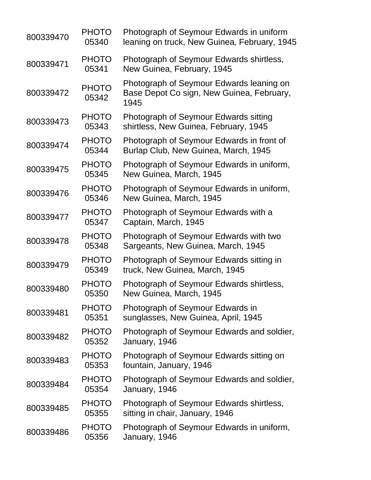| 800339470 | <b>PHOTO</b><br>05340 | Photograph of Seymour Edwards in uniform<br>leaning on truck, New Guinea, February, 1945      |
|-----------|-----------------------|-----------------------------------------------------------------------------------------------|
| 800339471 | <b>PHOTO</b><br>05341 | Photograph of Seymour Edwards shirtless,<br>New Guinea, February, 1945                        |
| 800339472 | <b>PHOTO</b><br>05342 | Photograph of Seymour Edwards leaning on<br>Base Depot Co sign, New Guinea, February,<br>1945 |
| 800339473 | <b>PHOTO</b><br>05343 | Photograph of Seymour Edwards sitting<br>shirtless, New Guinea, February, 1945                |
| 800339474 | <b>PHOTO</b><br>05344 | Photograph of Seymour Edwards in front of<br>Burlap Club, New Guinea, March, 1945             |
| 800339475 | <b>PHOTO</b><br>05345 | Photograph of Seymour Edwards in uniform,<br>New Guinea, March, 1945                          |
| 800339476 | <b>PHOTO</b><br>05346 | Photograph of Seymour Edwards in uniform,<br>New Guinea, March, 1945                          |
| 800339477 | <b>PHOTO</b><br>05347 | Photograph of Seymour Edwards with a<br>Captain, March, 1945                                  |
| 800339478 | <b>PHOTO</b><br>05348 | Photograph of Seymour Edwards with two<br>Sargeants, New Guinea, March, 1945                  |
| 800339479 | <b>PHOTO</b><br>05349 | Photograph of Seymour Edwards sitting in<br>truck, New Guinea, March, 1945                    |
| 800339480 | <b>PHOTO</b><br>05350 | Photograph of Seymour Edwards shirtless,<br>New Guinea, March, 1945                           |
| 800339481 | <b>PHOTO</b><br>05351 | Photograph of Seymour Edwards in<br>sunglasses, New Guinea, April, 1945                       |
| 800339482 | <b>PHOTO</b><br>05352 | Photograph of Seymour Edwards and soldier,<br>January, 1946                                   |
| 800339483 | <b>PHOTO</b><br>05353 | Photograph of Seymour Edwards sitting on<br>fountain, January, 1946                           |
| 800339484 | <b>PHOTO</b><br>05354 | Photograph of Seymour Edwards and soldier,<br>January, 1946                                   |
| 800339485 | <b>PHOTO</b><br>05355 | Photograph of Seymour Edwards shirtless,<br>sitting in chair, January, 1946                   |
| 800339486 | <b>PHOTO</b><br>05356 | Photograph of Seymour Edwards in uniform,<br>January, 1946                                    |
|           |                       |                                                                                               |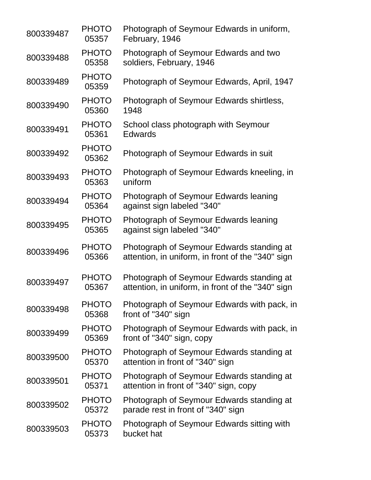| 800339487 | <b>PHOTO</b><br>05357 | Photograph of Seymour Edwards in uniform,<br>February, 1946                                    |
|-----------|-----------------------|------------------------------------------------------------------------------------------------|
| 800339488 | <b>PHOTO</b><br>05358 | Photograph of Seymour Edwards and two<br>soldiers, February, 1946                              |
| 800339489 | <b>PHOTO</b><br>05359 | Photograph of Seymour Edwards, April, 1947                                                     |
| 800339490 | <b>PHOTO</b><br>05360 | Photograph of Seymour Edwards shirtless,<br>1948                                               |
| 800339491 | <b>PHOTO</b><br>05361 | School class photograph with Seymour<br><b>Edwards</b>                                         |
| 800339492 | <b>PHOTO</b><br>05362 | Photograph of Seymour Edwards in suit                                                          |
| 800339493 | <b>PHOTO</b><br>05363 | Photograph of Seymour Edwards kneeling, in<br>uniform                                          |
| 800339494 | <b>PHOTO</b><br>05364 | Photograph of Seymour Edwards leaning<br>against sign labeled "340"                            |
| 800339495 | <b>PHOTO</b><br>05365 | Photograph of Seymour Edwards leaning<br>against sign labeled "340"                            |
| 800339496 | <b>PHOTO</b><br>05366 | Photograph of Seymour Edwards standing at<br>attention, in uniform, in front of the "340" sign |
| 800339497 | <b>PHOTO</b><br>05367 | Photograph of Seymour Edwards standing at<br>attention, in uniform, in front of the "340" sign |
| 800339498 | <b>PHOTO</b><br>05368 | Photograph of Seymour Edwards with pack, in<br>front of "340" sign                             |
| 800339499 | <b>PHOTO</b><br>05369 | Photograph of Seymour Edwards with pack, in<br>front of "340" sign, copy                       |
| 800339500 | <b>PHOTO</b><br>05370 | Photograph of Seymour Edwards standing at<br>attention in front of "340" sign                  |
| 800339501 | <b>PHOTO</b><br>05371 | Photograph of Seymour Edwards standing at<br>attention in front of "340" sign, copy            |
| 800339502 | <b>PHOTO</b><br>05372 | Photograph of Seymour Edwards standing at<br>parade rest in front of "340" sign                |
| 800339503 | <b>PHOTO</b><br>05373 | Photograph of Seymour Edwards sitting with<br>bucket hat                                       |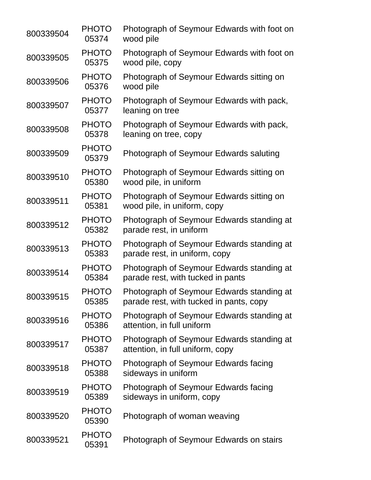| 800339504 | <b>PHOTO</b><br>05374 | Photograph of Seymour Edwards with foot on<br>wood pile                              |
|-----------|-----------------------|--------------------------------------------------------------------------------------|
| 800339505 | <b>PHOTO</b><br>05375 | Photograph of Seymour Edwards with foot on<br>wood pile, copy                        |
| 800339506 | <b>PHOTO</b><br>05376 | Photograph of Seymour Edwards sitting on<br>wood pile                                |
| 800339507 | <b>PHOTO</b><br>05377 | Photograph of Seymour Edwards with pack,<br>leaning on tree                          |
| 800339508 | <b>PHOTO</b><br>05378 | Photograph of Seymour Edwards with pack,<br>leaning on tree, copy                    |
| 800339509 | <b>PHOTO</b><br>05379 | Photograph of Seymour Edwards saluting                                               |
| 800339510 | <b>PHOTO</b><br>05380 | Photograph of Seymour Edwards sitting on<br>wood pile, in uniform                    |
| 800339511 | <b>PHOTO</b><br>05381 | Photograph of Seymour Edwards sitting on<br>wood pile, in uniform, copy              |
| 800339512 | <b>PHOTO</b><br>05382 | Photograph of Seymour Edwards standing at<br>parade rest, in uniform                 |
| 800339513 | <b>PHOTO</b><br>05383 | Photograph of Seymour Edwards standing at<br>parade rest, in uniform, copy           |
| 800339514 | <b>PHOTO</b><br>05384 | Photograph of Seymour Edwards standing at<br>parade rest, with tucked in pants       |
| 800339515 | <b>PHOTO</b><br>05385 | Photograph of Seymour Edwards standing at<br>parade rest, with tucked in pants, copy |
| 800339516 | <b>PHOTO</b><br>05386 | Photograph of Seymour Edwards standing at<br>attention, in full uniform              |
| 800339517 | <b>PHOTO</b><br>05387 | Photograph of Seymour Edwards standing at<br>attention, in full uniform, copy        |
| 800339518 | <b>PHOTO</b><br>05388 | Photograph of Seymour Edwards facing<br>sideways in uniform                          |
| 800339519 | <b>PHOTO</b><br>05389 | Photograph of Seymour Edwards facing<br>sideways in uniform, copy                    |
| 800339520 | <b>PHOTO</b><br>05390 | Photograph of woman weaving                                                          |
| 800339521 | <b>PHOTO</b><br>05391 | Photograph of Seymour Edwards on stairs                                              |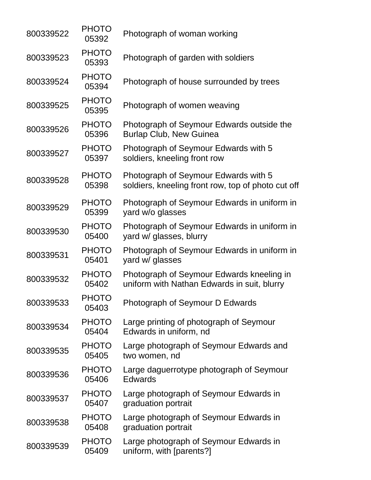| 800339522 | <b>PHOTO</b><br>05392 | Photograph of woman working                                                                |
|-----------|-----------------------|--------------------------------------------------------------------------------------------|
| 800339523 | <b>PHOTO</b><br>05393 | Photograph of garden with soldiers                                                         |
| 800339524 | <b>PHOTO</b><br>05394 | Photograph of house surrounded by trees                                                    |
| 800339525 | <b>PHOTO</b><br>05395 | Photograph of women weaving                                                                |
| 800339526 | <b>PHOTO</b><br>05396 | Photograph of Seymour Edwards outside the<br><b>Burlap Club, New Guinea</b>                |
| 800339527 | <b>PHOTO</b><br>05397 | Photograph of Seymour Edwards with 5<br>soldiers, kneeling front row                       |
| 800339528 | <b>PHOTO</b><br>05398 | Photograph of Seymour Edwards with 5<br>soldiers, kneeling front row, top of photo cut off |
| 800339529 | <b>PHOTO</b><br>05399 | Photograph of Seymour Edwards in uniform in<br>vard w/o glasses                            |
| 800339530 | <b>PHOTO</b><br>05400 | Photograph of Seymour Edwards in uniform in<br>yard w/ glasses, blurry                     |
| 800339531 | <b>PHOTO</b><br>05401 | Photograph of Seymour Edwards in uniform in<br>yard w/ glasses                             |
| 800339532 | <b>PHOTO</b><br>05402 | Photograph of Seymour Edwards kneeling in<br>uniform with Nathan Edwards in suit, blurry   |
| 800339533 | <b>PHOTO</b><br>05403 | Photograph of Seymour D Edwards                                                            |
| 800339534 | <b>PHOTO</b><br>05404 | Large printing of photograph of Seymour<br>Edwards in uniform, nd                          |
| 800339535 | <b>PHOTO</b><br>05405 | Large photograph of Seymour Edwards and<br>two women, nd                                   |
| 800339536 | <b>PHOTO</b><br>05406 | Large daguerrotype photograph of Seymour<br><b>Edwards</b>                                 |
| 800339537 | <b>PHOTO</b><br>05407 | Large photograph of Seymour Edwards in<br>graduation portrait                              |
| 800339538 | <b>PHOTO</b><br>05408 | Large photograph of Seymour Edwards in<br>graduation portrait                              |
| 800339539 | <b>PHOTO</b><br>05409 | Large photograph of Seymour Edwards in<br>uniform, with [parents?]                         |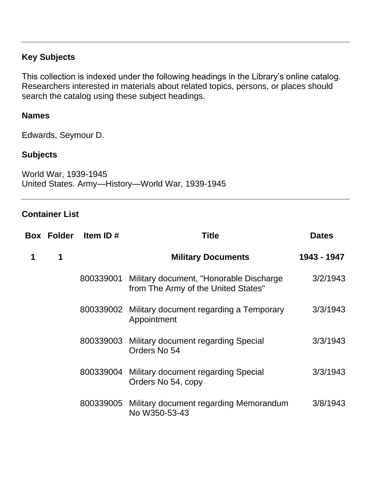# **Key Subjects**

This collection is indexed under the following headings in the Library's online catalog. Researchers interested in materials about related topics, persons, or places should search the catalog using these subject headings.

### **Names**

Edwards, Seymour D.

# **Subjects**

World War, 1939-1945 United States. Army—History—World War, 1939-1945

### **Container List**

|   | <b>Box Folder</b> | Item ID#  | Title                                                                           | <b>Dates</b> |
|---|-------------------|-----------|---------------------------------------------------------------------------------|--------------|
| 1 | $\mathbf 1$       |           | <b>Military Documents</b>                                                       | 1943 - 1947  |
|   |                   | 800339001 | Military document, "Honorable Discharge"<br>from The Army of the United States" | 3/2/1943     |
|   |                   |           | 800339002 Military document regarding a Temporary<br>Appointment                | 3/3/1943     |
|   |                   |           | 800339003 Military document regarding Special<br>Orders No 54                   | 3/3/1943     |
|   |                   | 800339004 | Military document regarding Special<br>Orders No 54, copy                       | 3/3/1943     |
|   |                   | 800339005 | Military document regarding Memorandum<br>No W350-53-43                         | 3/8/1943     |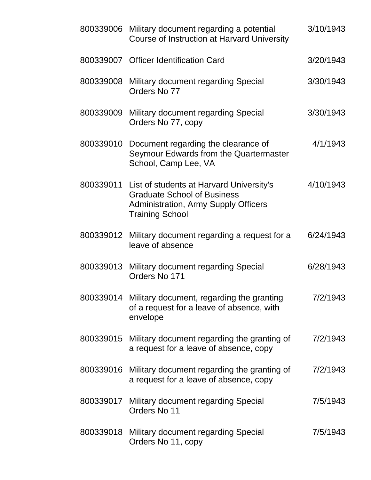|           | 800339006 Military document regarding a potential<br>Course of Instruction at Harvard University                                                                  | 3/10/1943 |
|-----------|-------------------------------------------------------------------------------------------------------------------------------------------------------------------|-----------|
|           | 800339007 Officer Identification Card                                                                                                                             | 3/20/1943 |
| 800339008 | Military document regarding Special<br>Orders No 77                                                                                                               | 3/30/1943 |
| 800339009 | Military document regarding Special<br>Orders No 77, copy                                                                                                         | 3/30/1943 |
|           | 800339010 Document regarding the clearance of<br>Seymour Edwards from the Quartermaster<br>School, Camp Lee, VA                                                   | 4/1/1943  |
|           | 800339011 List of students at Harvard University's<br><b>Graduate School of Business</b><br><b>Administration, Army Supply Officers</b><br><b>Training School</b> | 4/10/1943 |
|           | 800339012 Military document regarding a request for a<br>leave of absence                                                                                         | 6/24/1943 |
|           | 800339013 Military document regarding Special<br>Orders No 171                                                                                                    | 6/28/1943 |
|           | 800339014 Military document, regarding the granting<br>of a request for a leave of absence, with<br>envelope                                                      | 7/2/1943  |
| 800339015 | Military document regarding the granting of<br>a request for a leave of absence, copy                                                                             | 7/2/1943  |
|           | 800339016 Military document regarding the granting of<br>a request for a leave of absence, copy                                                                   | 7/2/1943  |
|           | 800339017 Military document regarding Special<br>Orders No 11                                                                                                     | 7/5/1943  |
| 800339018 | Military document regarding Special<br>Orders No 11, copy                                                                                                         | 7/5/1943  |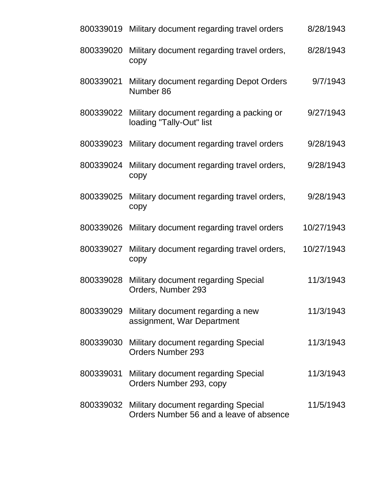| 800339019 | Military document regarding travel orders                                                | 8/28/1943  |
|-----------|------------------------------------------------------------------------------------------|------------|
| 800339020 | Military document regarding travel orders,<br>copy                                       | 8/28/1943  |
| 800339021 | Military document regarding Depot Orders<br>Number 86                                    | 9/7/1943   |
|           | 800339022 Military document regarding a packing or<br>loading "Tally-Out" list           | 9/27/1943  |
| 800339023 | Military document regarding travel orders                                                | 9/28/1943  |
| 800339024 | Military document regarding travel orders,<br>copy                                       | 9/28/1943  |
| 800339025 | Military document regarding travel orders,<br>copy                                       | 9/28/1943  |
| 800339026 | Military document regarding travel orders                                                | 10/27/1943 |
| 800339027 | Military document regarding travel orders,<br>copy                                       | 10/27/1943 |
| 800339028 | Military document regarding Special<br>Orders, Number 293                                | 11/3/1943  |
| 800339029 | Military document regarding a new<br>assignment, War Department                          | 11/3/1943  |
| 800339030 | Military document regarding Special<br><b>Orders Number 293</b>                          | 11/3/1943  |
| 800339031 | Military document regarding Special<br>Orders Number 293, copy                           | 11/3/1943  |
|           | 800339032 Military document regarding Special<br>Orders Number 56 and a leave of absence | 11/5/1943  |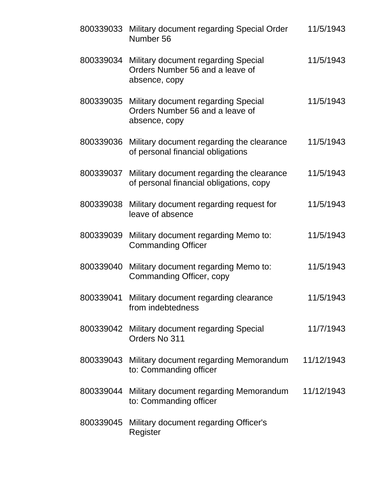| 800339033 | Military document regarding Special Order<br>Number 56                                  | 11/5/1943  |
|-----------|-----------------------------------------------------------------------------------------|------------|
| 800339034 | Military document regarding Special<br>Orders Number 56 and a leave of<br>absence, copy | 11/5/1943  |
| 800339035 | Military document regarding Special<br>Orders Number 56 and a leave of<br>absence, copy | 11/5/1943  |
| 800339036 | Military document regarding the clearance<br>of personal financial obligations          | 11/5/1943  |
| 800339037 | Military document regarding the clearance<br>of personal financial obligations, copy    | 11/5/1943  |
| 800339038 | Military document regarding request for<br>leave of absence                             | 11/5/1943  |
| 800339039 | Military document regarding Memo to:<br><b>Commanding Officer</b>                       | 11/5/1943  |
| 800339040 | Military document regarding Memo to:<br>Commanding Officer, copy                        | 11/5/1943  |
|           | 800339041 Military document regarding clearance<br>from indebtedness                    | 11/5/1943  |
|           | 800339042 Military document regarding Special<br>Orders No 311                          | 11/7/1943  |
| 800339043 | Military document regarding Memorandum<br>to: Commanding officer                        | 11/12/1943 |
| 800339044 | Military document regarding Memorandum<br>to: Commanding officer                        | 11/12/1943 |
|           | 800339045 Military document regarding Officer's<br>Register                             |            |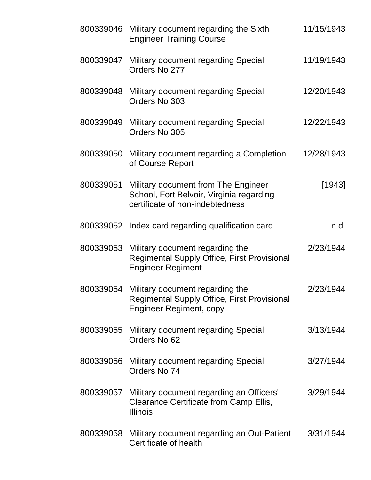|           | 800339046 Military document regarding the Sixth<br><b>Engineer Training Course</b>                                      | 11/15/1943 |
|-----------|-------------------------------------------------------------------------------------------------------------------------|------------|
|           | 800339047 Military document regarding Special<br>Orders No 277                                                          | 11/19/1943 |
|           | 800339048 Military document regarding Special<br>Orders No 303                                                          | 12/20/1943 |
| 800339049 | Military document regarding Special<br>Orders No 305                                                                    | 12/22/1943 |
| 800339050 | Military document regarding a Completion<br>of Course Report                                                            | 12/28/1943 |
| 800339051 | Military document from The Engineer<br>School, Fort Belvoir, Virginia regarding<br>certificate of non-indebtedness      | $[1943]$   |
| 800339052 | Index card regarding qualification card                                                                                 | n.d.       |
| 800339053 | Military document regarding the<br><b>Regimental Supply Office, First Provisional</b><br><b>Engineer Regiment</b>       | 2/23/1944  |
| 800339054 | Military document regarding the<br><b>Regimental Supply Office, First Provisional</b><br><b>Engineer Regiment, copy</b> | 2/23/1944  |
| 800339055 | Military document regarding Special<br>Orders No 62                                                                     | 3/13/1944  |
| 800339056 | Military document regarding Special<br>Orders No 74                                                                     | 3/27/1944  |
| 800339057 | Military document regarding an Officers'<br>Clearance Certificate from Camp Ellis,<br><b>Illinois</b>                   | 3/29/1944  |
| 800339058 | Military document regarding an Out-Patient<br>Certificate of health                                                     | 3/31/1944  |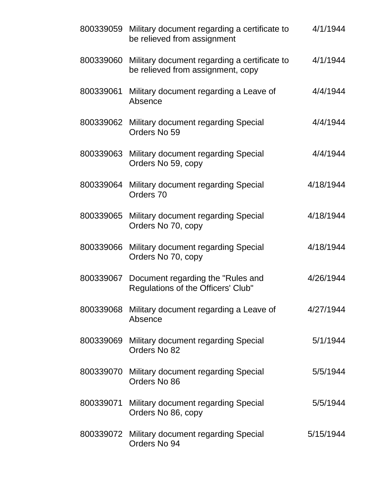|           | 800339059 Military document regarding a certificate to<br>be relieved from assignment | 4/1/1944  |
|-----------|---------------------------------------------------------------------------------------|-----------|
| 800339060 | Military document regarding a certificate to<br>be relieved from assignment, copy     | 4/1/1944  |
| 800339061 | Military document regarding a Leave of<br>Absence                                     | 4/4/1944  |
| 800339062 | Military document regarding Special<br>Orders No 59                                   | 4/4/1944  |
| 800339063 | Military document regarding Special<br>Orders No 59, copy                             | 4/4/1944  |
| 800339064 | Military document regarding Special<br>Orders 70                                      | 4/18/1944 |
| 800339065 | Military document regarding Special<br>Orders No 70, copy                             | 4/18/1944 |
| 800339066 | Military document regarding Special<br>Orders No 70, copy                             | 4/18/1944 |
| 800339067 | Document regarding the "Rules and<br>Regulations of the Officers' Club"               | 4/26/1944 |
| 800339068 | Military document regarding a Leave of<br>Absence                                     | 4/27/1944 |
| 800339069 | Military document regarding Special<br>Orders No 82                                   | 5/1/1944  |
|           | 800339070 Military document regarding Special<br>Orders No 86                         | 5/5/1944  |
| 800339071 | Military document regarding Special<br>Orders No 86, copy                             | 5/5/1944  |
|           | 800339072 Military document regarding Special<br>Orders No 94                         | 5/15/1944 |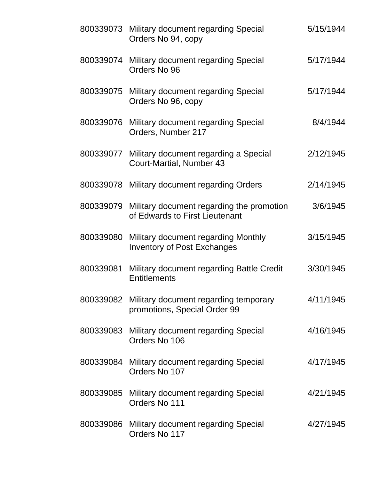|           | 800339073 Military document regarding Special<br>Orders No 94, copy                   | 5/15/1944 |
|-----------|---------------------------------------------------------------------------------------|-----------|
| 800339074 | Military document regarding Special<br>Orders No 96                                   | 5/17/1944 |
|           | 800339075 Military document regarding Special<br>Orders No 96, copy                   | 5/17/1944 |
| 800339076 | Military document regarding Special<br>Orders, Number 217                             | 8/4/1944  |
| 800339077 | Military document regarding a Special<br><b>Court-Martial, Number 43</b>              | 2/12/1945 |
|           | 800339078 Military document regarding Orders                                          | 2/14/1945 |
|           | 800339079 Military document regarding the promotion<br>of Edwards to First Lieutenant | 3/6/1945  |
| 800339080 | Military document regarding Monthly<br><b>Inventory of Post Exchanges</b>             | 3/15/1945 |
| 800339081 | Military document regarding Battle Credit<br><b>Entitlements</b>                      | 3/30/1945 |
|           | 800339082 Military document regarding temporary<br>promotions, Special Order 99       | 4/11/1945 |
| 800339083 | Military document regarding Special<br>Orders No 106                                  | 4/16/1945 |
| 800339084 | Military document regarding Special<br>Orders No 107                                  | 4/17/1945 |
|           | 800339085 Military document regarding Special<br>Orders No 111                        | 4/21/1945 |
|           | 800339086 Military document regarding Special<br>Orders No 117                        | 4/27/1945 |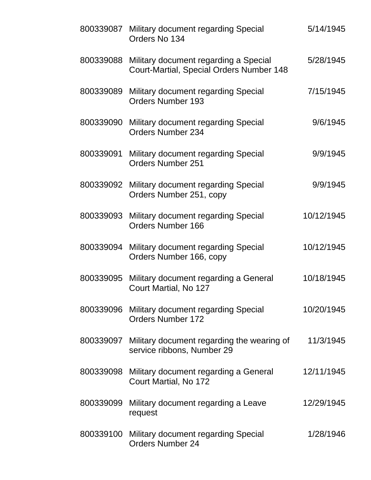| 800339087 | Military document regarding Special<br>Orders No 134                               | 5/14/1945  |
|-----------|------------------------------------------------------------------------------------|------------|
| 800339088 | Military document regarding a Special<br>Court-Martial, Special Orders Number 148  | 5/28/1945  |
| 800339089 | Military document regarding Special<br><b>Orders Number 193</b>                    | 7/15/1945  |
| 800339090 | Military document regarding Special<br><b>Orders Number 234</b>                    | 9/6/1945   |
| 800339091 | Military document regarding Special<br><b>Orders Number 251</b>                    | 9/9/1945   |
|           | 800339092 Military document regarding Special<br>Orders Number 251, copy           | 9/9/1945   |
| 800339093 | Military document regarding Special<br><b>Orders Number 166</b>                    | 10/12/1945 |
|           | 800339094 Military document regarding Special<br>Orders Number 166, copy           | 10/12/1945 |
| 800339095 | Military document regarding a General<br>Court Martial, No 127                     | 10/18/1945 |
|           | 800339096 Military document regarding Special<br><b>Orders Number 172</b>          | 10/20/1945 |
|           | 800339097 Military document regarding the wearing of<br>service ribbons, Number 29 | 11/3/1945  |
|           | 800339098 Military document regarding a General<br>Court Martial, No 172           | 12/11/1945 |
| 800339099 | Military document regarding a Leave<br>request                                     | 12/29/1945 |
|           | 800339100 Military document regarding Special<br><b>Orders Number 24</b>           | 1/28/1946  |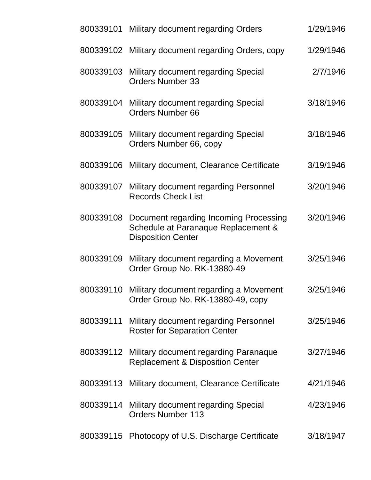|           | 800339101 Military document regarding Orders                                                                         | 1/29/1946 |
|-----------|----------------------------------------------------------------------------------------------------------------------|-----------|
| 800339102 | Military document regarding Orders, copy                                                                             | 1/29/1946 |
| 800339103 | Military document regarding Special<br><b>Orders Number 33</b>                                                       | 2/7/1946  |
| 800339104 | <b>Military document regarding Special</b><br><b>Orders Number 66</b>                                                | 3/18/1946 |
|           | 800339105 Military document regarding Special<br>Orders Number 66, copy                                              | 3/18/1946 |
| 800339106 | Military document, Clearance Certificate                                                                             | 3/19/1946 |
| 800339107 | Military document regarding Personnel<br><b>Records Check List</b>                                                   | 3/20/1946 |
|           | 800339108 Document regarding Incoming Processing<br>Schedule at Paranaque Replacement &<br><b>Disposition Center</b> | 3/20/1946 |
| 800339109 | Military document regarding a Movement<br>Order Group No. RK-13880-49                                                | 3/25/1946 |
| 800339110 | Military document regarding a Movement<br>Order Group No. RK-13880-49, copy                                          | 3/25/1946 |
| 800339111 | Military document regarding Personnel<br><b>Roster for Separation Center</b>                                         | 3/25/1946 |
| 800339112 | Military document regarding Paranaque<br><b>Replacement &amp; Disposition Center</b>                                 | 3/27/1946 |
| 800339113 | Military document, Clearance Certificate                                                                             | 4/21/1946 |
| 800339114 | Military document regarding Special<br><b>Orders Number 113</b>                                                      | 4/23/1946 |
|           | 800339115 Photocopy of U.S. Discharge Certificate                                                                    | 3/18/1947 |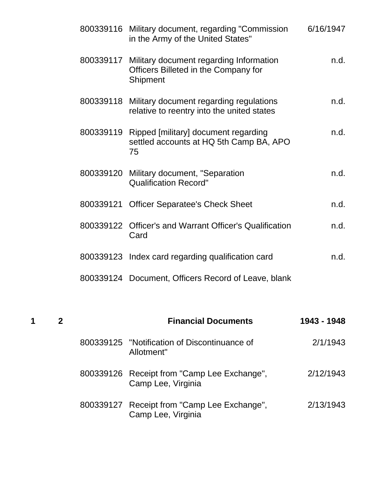|           | 800339116 Military document, regarding "Commission<br>in the Army of the United States"                      | 6/16/1947 |
|-----------|--------------------------------------------------------------------------------------------------------------|-----------|
|           | 800339117 Military document regarding Information<br>Officers Billeted in the Company for<br><b>Shipment</b> | n.d.      |
|           | 800339118 Military document regarding regulations<br>relative to reentry into the united states              | n.d.      |
| 800339119 | Ripped [military] document regarding<br>settled accounts at HQ 5th Camp BA, APO<br>75                        | n.d.      |
|           | 800339120 Military document, "Separation<br><b>Qualification Record"</b>                                     | n.d.      |
| 800339121 | <b>Officer Separatee's Check Sheet</b>                                                                       | n.d.      |
|           | 800339122 Officer's and Warrant Officer's Qualification<br>Card                                              | n.d.      |
|           | 800339123 Index card regarding qualification card                                                            | n.d.      |
|           | 800339124 Document, Officers Record of Leave, blank                                                          |           |

| 1 |  | <b>Financial Documents</b>                                        | 1943 - 1948 |
|---|--|-------------------------------------------------------------------|-------------|
|   |  | 800339125 "Notification of Discontinuance of<br>Allotment"        | 2/1/1943    |
|   |  | 800339126 Receipt from "Camp Lee Exchange",<br>Camp Lee, Virginia | 2/12/1943   |
|   |  | 800339127 Receipt from "Camp Lee Exchange",<br>Camp Lee, Virginia | 2/13/1943   |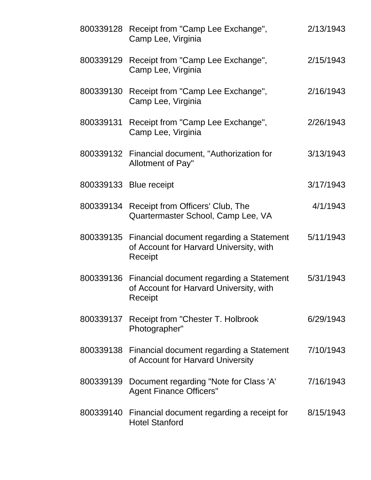|           | 800339128 Receipt from "Camp Lee Exchange",<br>Camp Lee, Virginia                                        | 2/13/1943 |
|-----------|----------------------------------------------------------------------------------------------------------|-----------|
|           | 800339129 Receipt from "Camp Lee Exchange",<br>Camp Lee, Virginia                                        | 2/15/1943 |
|           | 800339130 Receipt from "Camp Lee Exchange",<br>Camp Lee, Virginia                                        | 2/16/1943 |
|           | 800339131 Receipt from "Camp Lee Exchange",<br>Camp Lee, Virginia                                        | 2/26/1943 |
|           | 800339132 Financial document, "Authorization for<br>Allotment of Pay"                                    | 3/13/1943 |
|           | 800339133 Blue receipt                                                                                   | 3/17/1943 |
|           | 800339134 Receipt from Officers' Club, The<br>Quartermaster School, Camp Lee, VA                         | 4/1/1943  |
|           | 800339135 Financial document regarding a Statement<br>of Account for Harvard University, with<br>Receipt | 5/11/1943 |
|           | 800339136 Financial document regarding a Statement<br>of Account for Harvard University, with<br>Receipt | 5/31/1943 |
|           | 800339137 Receipt from "Chester T. Holbrook"<br>Photographer"                                            | 6/29/1943 |
|           | 800339138 Financial document regarding a Statement<br>of Account for Harvard University                  | 7/10/1943 |
| 800339139 | Document regarding "Note for Class 'A'<br><b>Agent Finance Officers"</b>                                 | 7/16/1943 |
|           | 800339140 Financial document regarding a receipt for<br><b>Hotel Stanford</b>                            | 8/15/1943 |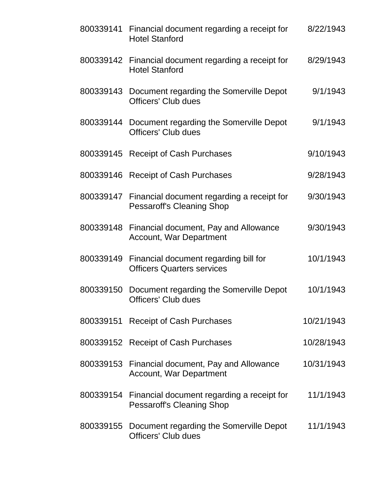|           | 800339141 Financial document regarding a receipt for<br><b>Hotel Stanford</b>            | 8/22/1943  |
|-----------|------------------------------------------------------------------------------------------|------------|
|           | 800339142 Financial document regarding a receipt for<br><b>Hotel Stanford</b>            | 8/29/1943  |
|           | 800339143 Document regarding the Somerville Depot<br><b>Officers' Club dues</b>          | 9/1/1943   |
|           | 800339144 Document regarding the Somerville Depot<br><b>Officers' Club dues</b>          | 9/1/1943   |
| 800339145 | <b>Receipt of Cash Purchases</b>                                                         | 9/10/1943  |
| 800339146 | <b>Receipt of Cash Purchases</b>                                                         | 9/28/1943  |
|           | 800339147 Financial document regarding a receipt for<br><b>Pessaroff's Cleaning Shop</b> | 9/30/1943  |
|           | 800339148 Financial document, Pay and Allowance<br><b>Account, War Department</b>        | 9/30/1943  |
|           | 800339149 Financial document regarding bill for<br><b>Officers Quarters services</b>     | 10/1/1943  |
| 800339150 | Document regarding the Somerville Depot<br><b>Officers' Club dues</b>                    | 10/1/1943  |
|           | 800339151 Receipt of Cash Purchases                                                      | 10/21/1943 |
|           | 800339152 Receipt of Cash Purchases                                                      | 10/28/1943 |
|           | 800339153 Financial document, Pay and Allowance<br><b>Account, War Department</b>        | 10/31/1943 |
|           | 800339154 Financial document regarding a receipt for<br><b>Pessaroff's Cleaning Shop</b> | 11/1/1943  |
|           | 800339155 Document regarding the Somerville Depot<br><b>Officers' Club dues</b>          | 11/1/1943  |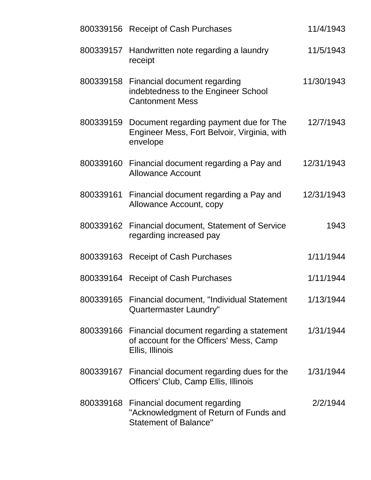|           | 800339156 Receipt of Cash Purchases                                                                              | 11/4/1943  |
|-----------|------------------------------------------------------------------------------------------------------------------|------------|
| 800339157 | Handwritten note regarding a laundry<br>receipt                                                                  | 11/5/1943  |
|           | 800339158 Financial document regarding<br>indebtedness to the Engineer School<br><b>Cantonment Mess</b>          | 11/30/1943 |
|           | 800339159 Document regarding payment due for The<br>Engineer Mess, Fort Belvoir, Virginia, with<br>envelope      | 12/7/1943  |
|           | 800339160 Financial document regarding a Pay and<br><b>Allowance Account</b>                                     | 12/31/1943 |
| 800339161 | Financial document regarding a Pay and<br>Allowance Account, copy                                                | 12/31/1943 |
|           | 800339162 Financial document, Statement of Service<br>regarding increased pay                                    | 1943       |
|           | 800339163 Receipt of Cash Purchases                                                                              | 1/11/1944  |
|           | 800339164 Receipt of Cash Purchases                                                                              | 1/11/1944  |
|           | 800339165 Financial document, "Individual Statement"<br>Quartermaster Laundry"                                   | 1/13/1944  |
|           | 800339166 Financial document regarding a statement<br>of account for the Officers' Mess, Camp<br>Ellis, Illinois | 1/31/1944  |
|           | 800339167 Financial document regarding dues for the<br>Officers' Club, Camp Ellis, Illinois                      | 1/31/1944  |
| 800339168 | Financial document regarding<br>"Acknowledgment of Return of Funds and<br><b>Statement of Balance"</b>           | 2/2/1944   |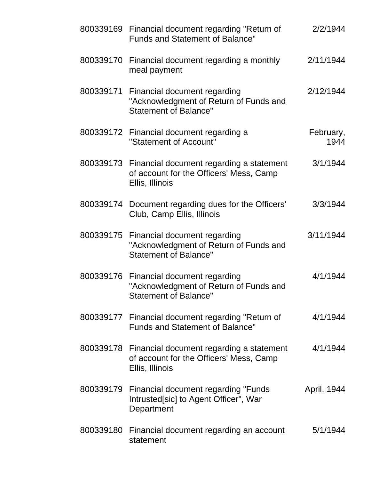|           | 800339169 Financial document regarding "Return of<br><b>Funds and Statement of Balance"</b>                      | 2/2/1944          |
|-----------|------------------------------------------------------------------------------------------------------------------|-------------------|
| 800339170 | Financial document regarding a monthly<br>meal payment                                                           | 2/11/1944         |
|           | 800339171 Financial document regarding<br>"Acknowledgment of Return of Funds and<br><b>Statement of Balance"</b> | 2/12/1944         |
|           | 800339172 Financial document regarding a<br>"Statement of Account"                                               | February,<br>1944 |
|           | 800339173 Financial document regarding a statement<br>of account for the Officers' Mess, Camp<br>Ellis, Illinois | 3/1/1944          |
| 800339174 | Document regarding dues for the Officers'<br>Club, Camp Ellis, Illinois                                          | 3/3/1944          |
|           | 800339175 Financial document regarding<br>"Acknowledgment of Return of Funds and<br><b>Statement of Balance"</b> | 3/11/1944         |
|           | 800339176 Financial document regarding<br>"Acknowledgment of Return of Funds and<br><b>Statement of Balance"</b> | 4/1/1944          |
|           | 800339177 Financial document regarding "Return of<br><b>Funds and Statement of Balance"</b>                      | 4/1/1944          |
|           | 800339178 Financial document regarding a statement<br>of account for the Officers' Mess, Camp<br>Ellis, Illinois | 4/1/1944          |
|           | 800339179 Financial document regarding "Funds<br>Intrusted[sic] to Agent Officer", War<br>Department             | April, 1944       |
| 800339180 | Financial document regarding an account<br>statement                                                             | 5/1/1944          |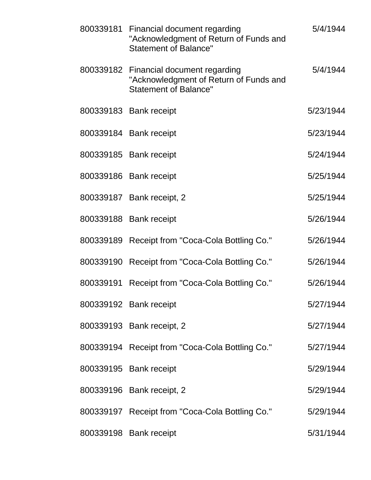| 800339181 Financial document regarding<br>"Acknowledgment of Return of Funds and<br><b>Statement of Balance"</b> | 5/4/1944  |
|------------------------------------------------------------------------------------------------------------------|-----------|
| 800339182 Financial document regarding<br>"Acknowledgment of Return of Funds and<br><b>Statement of Balance"</b> | 5/4/1944  |
| 800339183 Bank receipt                                                                                           | 5/23/1944 |
| 800339184 Bank receipt                                                                                           | 5/23/1944 |
| 800339185 Bank receipt                                                                                           | 5/24/1944 |
| 800339186 Bank receipt                                                                                           | 5/25/1944 |
| 800339187 Bank receipt, 2                                                                                        | 5/25/1944 |
| 800339188 Bank receipt                                                                                           | 5/26/1944 |
| 800339189 Receipt from "Coca-Cola Bottling Co."                                                                  | 5/26/1944 |
| 800339190 Receipt from "Coca-Cola Bottling Co."                                                                  | 5/26/1944 |
| 800339191 Receipt from "Coca-Cola Bottling Co."                                                                  | 5/26/1944 |
| 800339192 Bank receipt                                                                                           | 5/27/1944 |
| 800339193 Bank receipt, 2                                                                                        | 5/27/1944 |
| 800339194 Receipt from "Coca-Cola Bottling Co."                                                                  | 5/27/1944 |
| 800339195 Bank receipt                                                                                           | 5/29/1944 |
| 800339196 Bank receipt, 2                                                                                        | 5/29/1944 |
| 800339197 Receipt from "Coca-Cola Bottling Co."                                                                  | 5/29/1944 |
| 800339198 Bank receipt                                                                                           | 5/31/1944 |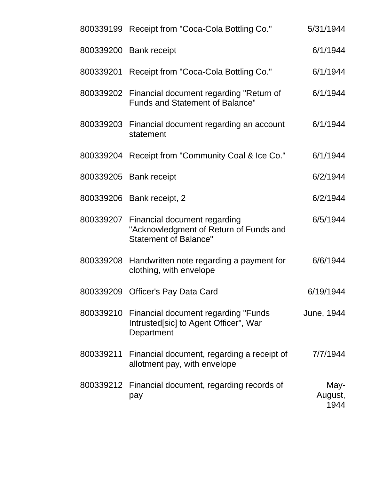|           | 800339199 Receipt from "Coca-Cola Bottling Co."                                                                  | 5/31/1944               |
|-----------|------------------------------------------------------------------------------------------------------------------|-------------------------|
|           | 800339200 Bank receipt                                                                                           | 6/1/1944                |
|           | 800339201 Receipt from "Coca-Cola Bottling Co."                                                                  | 6/1/1944                |
|           | 800339202 Financial document regarding "Return of<br><b>Funds and Statement of Balance"</b>                      | 6/1/1944                |
|           | 800339203 Financial document regarding an account<br>statement                                                   | 6/1/1944                |
|           | 800339204 Receipt from "Community Coal & Ice Co."                                                                | 6/1/1944                |
|           | 800339205 Bank receipt                                                                                           | 6/2/1944                |
|           | 800339206 Bank receipt, 2                                                                                        | 6/2/1944                |
|           | 800339207 Financial document regarding<br>"Acknowledgment of Return of Funds and<br><b>Statement of Balance"</b> | 6/5/1944                |
| 800339208 | Handwritten note regarding a payment for<br>clothing, with envelope                                              | 6/6/1944                |
|           | 800339209 Officer's Pay Data Card                                                                                | 6/19/1944               |
|           | 800339210 Financial document regarding "Funds"<br>Intrusted[sic] to Agent Officer", War<br>Department            | June, 1944              |
| 800339211 | Financial document, regarding a receipt of<br>allotment pay, with envelope                                       | 7/7/1944                |
|           | 800339212 Financial document, regarding records of<br>pay                                                        | May-<br>August,<br>1944 |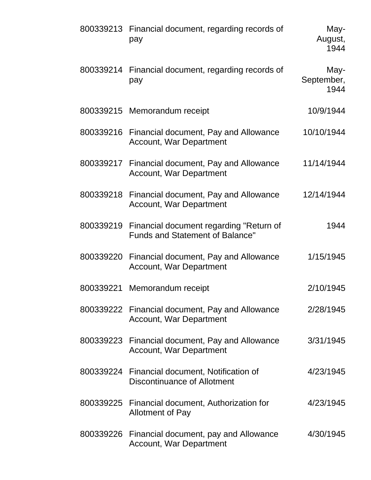|           | 800339213 Financial document, regarding records of<br>pay                                   | May-<br>August,<br>1944    |
|-----------|---------------------------------------------------------------------------------------------|----------------------------|
| 800339214 | Financial document, regarding records of<br>pay                                             | May-<br>September,<br>1944 |
|           | 800339215 Memorandum receipt                                                                | 10/9/1944                  |
|           | 800339216 Financial document, Pay and Allowance<br><b>Account, War Department</b>           | 10/10/1944                 |
|           | 800339217 Financial document, Pay and Allowance<br><b>Account, War Department</b>           | 11/14/1944                 |
| 800339218 | Financial document, Pay and Allowance<br><b>Account, War Department</b>                     | 12/14/1944                 |
|           | 800339219 Financial document regarding "Return of<br><b>Funds and Statement of Balance"</b> | 1944                       |
| 800339220 | Financial document, Pay and Allowance<br><b>Account, War Department</b>                     | 1/15/1945                  |
| 800339221 | Memorandum receipt                                                                          | 2/10/1945                  |
|           | 800339222 Financial document, Pay and Allowance<br><b>Account, War Department</b>           | 2/28/1945                  |
|           | 800339223 Financial document, Pay and Allowance<br>Account, War Department                  | 3/31/1945                  |
|           | 800339224 Financial document, Notification of<br>Discontinuance of Allotment                | 4/23/1945                  |
|           | 800339225 Financial document, Authorization for<br><b>Allotment of Pay</b>                  | 4/23/1945                  |
|           | 800339226 Financial document, pay and Allowance<br><b>Account, War Department</b>           | 4/30/1945                  |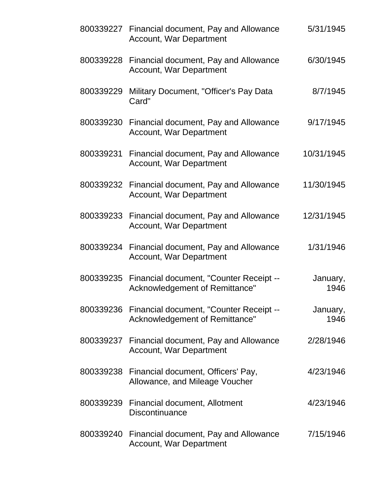|           | 800339227 Financial document, Pay and Allowance<br><b>Account, War Department</b>   | 5/31/1945        |
|-----------|-------------------------------------------------------------------------------------|------------------|
|           | 800339228 Financial document, Pay and Allowance<br><b>Account, War Department</b>   | 6/30/1945        |
| 800339229 | Military Document, "Officer's Pay Data<br>Card"                                     | 8/7/1945         |
|           | 800339230 Financial document, Pay and Allowance<br><b>Account, War Department</b>   | 9/17/1945        |
| 800339231 | Financial document, Pay and Allowance<br><b>Account, War Department</b>             | 10/31/1945       |
|           | 800339232 Financial document, Pay and Allowance<br><b>Account, War Department</b>   | 11/30/1945       |
|           | 800339233 Financial document, Pay and Allowance<br><b>Account, War Department</b>   | 12/31/1945       |
|           | 800339234 Financial document, Pay and Allowance<br><b>Account, War Department</b>   | 1/31/1946        |
|           | 800339235 Financial document, "Counter Receipt --<br>Acknowledgement of Remittance" | January,<br>1946 |
|           | 800339236 Financial document, "Counter Receipt --<br>Acknowledgement of Remittance" | January,<br>1946 |
|           | 800339237 Financial document, Pay and Allowance<br><b>Account, War Department</b>   | 2/28/1946        |
|           | 800339238 Financial document, Officers' Pay,<br>Allowance, and Mileage Voucher      | 4/23/1946        |
|           | 800339239 Financial document, Allotment<br><b>Discontinuance</b>                    | 4/23/1946        |
|           | 800339240 Financial document, Pay and Allowance<br><b>Account, War Department</b>   | 7/15/1946        |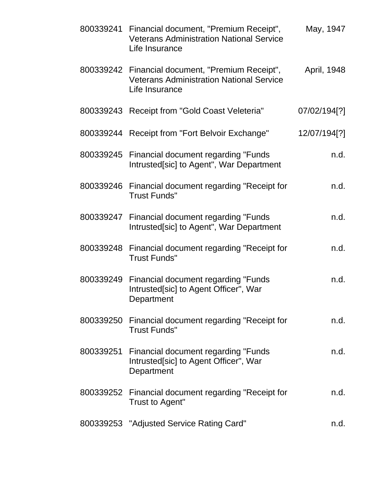|           | 800339241 Financial document, "Premium Receipt",<br><b>Veterans Administration National Service</b><br>Life Insurance | May, 1947    |
|-----------|-----------------------------------------------------------------------------------------------------------------------|--------------|
|           | 800339242 Financial document, "Premium Receipt",<br><b>Veterans Administration National Service</b><br>Life Insurance | April, 1948  |
|           | 800339243 Receipt from "Gold Coast Veleteria"                                                                         | 07/02/194[?] |
|           | 800339244 Receipt from "Fort Belvoir Exchange"                                                                        | 12/07/194[?] |
|           | 800339245 Financial document regarding "Funds<br>Intrusted[sic] to Agent", War Department                             | n.d.         |
|           | 800339246 Financial document regarding "Receipt for<br><b>Trust Funds"</b>                                            | n.d.         |
|           | 800339247 Financial document regarding "Funds<br>Intrusted[sic] to Agent", War Department                             | n.d.         |
|           | 800339248 Financial document regarding "Receipt for<br><b>Trust Funds"</b>                                            | n.d.         |
| 800339249 | Financial document regarding "Funds"<br>Intrusted[sic] to Agent Officer", War<br>Department                           | n.d.         |
|           | 800339250 Financial document regarding "Receipt for<br><b>Trust Funds"</b>                                            | n.d.         |
|           | 800339251 Financial document regarding "Funds"<br>Intrusted[sic] to Agent Officer", War<br>Department                 | n.d.         |
|           | 800339252 Financial document regarding "Receipt for<br>Trust to Agent"                                                | n.d.         |
|           | 800339253 "Adjusted Service Rating Card"                                                                              | n.d.         |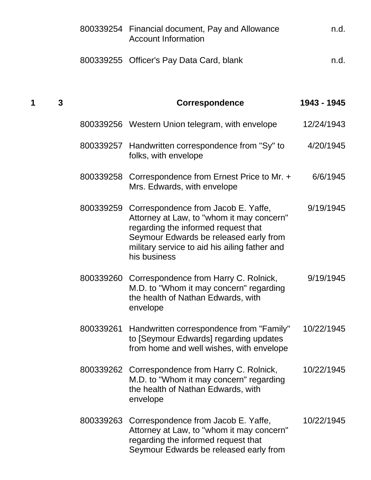|   |   |           | 800339254 Financial document, Pay and Allowance<br><b>Account Information</b>                                                                                                                                                                | n.d.        |
|---|---|-----------|----------------------------------------------------------------------------------------------------------------------------------------------------------------------------------------------------------------------------------------------|-------------|
|   |   |           | 800339255 Officer's Pay Data Card, blank                                                                                                                                                                                                     | n.d.        |
| 1 | 3 |           | <b>Correspondence</b>                                                                                                                                                                                                                        | 1943 - 1945 |
|   |   |           | 800339256 Western Union telegram, with envelope                                                                                                                                                                                              | 12/24/1943  |
|   |   | 800339257 | Handwritten correspondence from "Sy" to<br>folks, with envelope                                                                                                                                                                              | 4/20/1945   |
|   |   |           | 800339258 Correspondence from Ernest Price to Mr. +<br>Mrs. Edwards, with envelope                                                                                                                                                           | 6/6/1945    |
|   |   |           | 800339259 Correspondence from Jacob E. Yaffe,<br>Attorney at Law, to "whom it may concern"<br>regarding the informed request that<br>Seymour Edwards be released early from<br>military service to aid his ailing father and<br>his business | 9/19/1945   |
|   |   |           | 800339260 Correspondence from Harry C. Rolnick,<br>M.D. to "Whom it may concern" regarding<br>the health of Nathan Edwards, with<br>envelope                                                                                                 | 9/19/1945   |
|   |   | 800339261 | Handwritten correspondence from "Family"<br>to [Seymour Edwards] regarding updates<br>from home and well wishes, with envelope                                                                                                               | 10/22/1945  |
|   |   |           | 800339262 Correspondence from Harry C. Rolnick,<br>M.D. to "Whom it may concern" regarding<br>the health of Nathan Edwards, with<br>envelope                                                                                                 | 10/22/1945  |
|   |   | 800339263 | Correspondence from Jacob E. Yaffe,<br>Attorney at Law, to "whom it may concern"<br>regarding the informed request that<br>Seymour Edwards be released early from                                                                            | 10/22/1945  |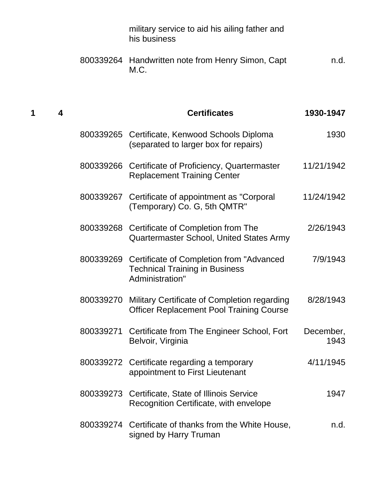|        |           | military service to aid his ailing father and<br>his business                                                   |                   |
|--------|-----------|-----------------------------------------------------------------------------------------------------------------|-------------------|
|        |           | 800339264 Handwritten note from Henry Simon, Capt<br>M.C.                                                       | n.d.              |
| 1<br>4 |           | <b>Certificates</b>                                                                                             | 1930-1947         |
|        |           | 800339265 Certificate, Kenwood Schools Diploma<br>(separated to larger box for repairs)                         | 1930              |
|        |           | 800339266 Certificate of Proficiency, Quartermaster<br><b>Replacement Training Center</b>                       | 11/21/1942        |
|        |           | 800339267 Certificate of appointment as "Corporal<br>(Temporary) Co. G, 5th QMTR"                               | 11/24/1942        |
|        | 800339268 | Certificate of Completion from The<br>Quartermaster School, United States Army                                  | 2/26/1943         |
|        |           | 800339269 Certificate of Completion from "Advanced"<br><b>Technical Training in Business</b><br>Administration" | 7/9/1943          |
|        | 800339270 | Military Certificate of Completion regarding<br><b>Officer Replacement Pool Training Course</b>                 | 8/28/1943         |
|        | 800339271 | Certificate from The Engineer School, Fort<br>Belvoir, Virginia                                                 | December,<br>1943 |
|        |           | 800339272 Certificate regarding a temporary<br>appointment to First Lieutenant                                  | 4/11/1945         |
|        | 800339273 | Certificate, State of Illinois Service<br>Recognition Certificate, with envelope                                | 1947              |
|        |           | 800339274 Certificate of thanks from the White House,<br>signed by Harry Truman                                 | n.d.              |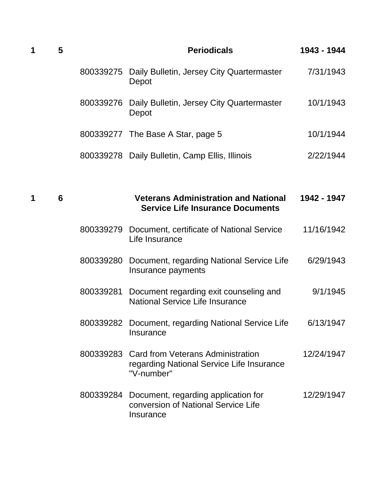| 1 | 5 |           | <b>Periodicals</b>                                                                                     | 1943 - 1944 |
|---|---|-----------|--------------------------------------------------------------------------------------------------------|-------------|
|   |   | 800339275 | Daily Bulletin, Jersey City Quartermaster<br>Depot                                                     | 7/31/1943   |
|   |   |           | 800339276 Daily Bulletin, Jersey City Quartermaster<br>Depot                                           | 10/1/1943   |
|   |   |           | 800339277 The Base A Star, page 5                                                                      | 10/1/1944   |
|   |   |           | 800339278 Daily Bulletin, Camp Ellis, Illinois                                                         | 2/22/1944   |
|   |   |           |                                                                                                        |             |
| 1 | 6 |           | <b>Veterans Administration and National</b><br><b>Service Life Insurance Documents</b>                 | 1942 - 1947 |
|   |   |           | 800339279 Document, certificate of National Service<br>Life Insurance                                  | 11/16/1942  |
|   |   | 800339280 | Document, regarding National Service Life<br>Insurance payments                                        | 6/29/1943   |
|   |   | 800339281 | Document regarding exit counseling and<br><b>National Service Life Insurance</b>                       | 9/1/1945    |
|   |   | 800339282 | Document, regarding National Service Life<br>Insurance                                                 | 6/13/1947   |
|   |   |           | 800339283 Card from Veterans Administration<br>regarding National Service Life Insurance<br>"V-number" | 12/24/1947  |
|   |   | 800339284 | Document, regarding application for<br>conversion of National Service Life<br>Insurance                | 12/29/1947  |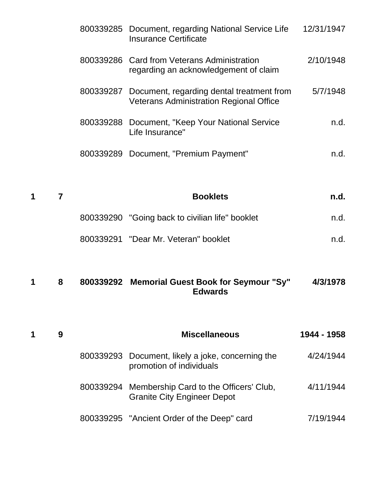|   |   | 800339285 | Document, regarding National Service Life<br><b>Insurance Certificate</b>                   | 12/31/1947  |
|---|---|-----------|---------------------------------------------------------------------------------------------|-------------|
|   |   |           | 800339286 Card from Veterans Administration<br>regarding an acknowledgement of claim        | 2/10/1948   |
|   |   | 800339287 | Document, regarding dental treatment from<br><b>Veterans Administration Regional Office</b> | 5/7/1948    |
|   |   | 800339288 | Document, "Keep Your National Service<br>Life Insurance"                                    | n.d.        |
|   |   |           | 800339289 Document, "Premium Payment"                                                       | n.d.        |
|   |   |           |                                                                                             |             |
| 1 | 7 |           | <b>Booklets</b>                                                                             | n.d.        |
|   |   |           | 800339290 "Going back to civilian life" booklet                                             | n.d.        |
|   |   |           | 800339291 "Dear Mr. Veteran" booklet                                                        | n.d.        |
| 1 | 8 |           | 800339292 Memorial Guest Book for Seymour "Sy"<br><b>Edwards</b>                            | 4/3/1978    |
| 1 | 9 |           | <b>Miscellaneous</b>                                                                        | 1944 - 1958 |
|   |   | 800339293 | Document, likely a joke, concerning the<br>promotion of individuals                         | 4/24/1944   |
|   |   |           |                                                                                             |             |
|   |   |           | 800339294 Membership Card to the Officers' Club,<br><b>Granite City Engineer Depot</b>      | 4/11/1944   |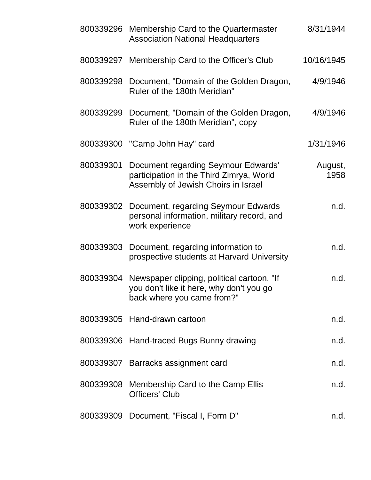| 800339296 | Membership Card to the Quartermaster<br><b>Association National Headquarters</b>                                       | 8/31/1944       |
|-----------|------------------------------------------------------------------------------------------------------------------------|-----------------|
| 800339297 | Membership Card to the Officer's Club                                                                                  | 10/16/1945      |
| 800339298 | Document, "Domain of the Golden Dragon,<br>4/9/1946<br>Ruler of the 180th Meridian"                                    |                 |
| 800339299 | Document, "Domain of the Golden Dragon,<br>Ruler of the 180th Meridian", copy                                          | 4/9/1946        |
|           | 800339300 "Camp John Hay" card                                                                                         | 1/31/1946       |
| 800339301 | Document regarding Seymour Edwards'<br>participation in the Third Zimrya, World<br>Assembly of Jewish Choirs in Israel | August,<br>1958 |
| 800339302 | Document, regarding Seymour Edwards<br>personal information, military record, and<br>work experience                   | n.d.            |
| 800339303 | Document, regarding information to<br>prospective students at Harvard University                                       | n.d.            |
| 800339304 | Newspaper clipping, political cartoon, "If<br>you don't like it here, why don't you go<br>back where you came from?"   | n.d.            |
|           | 800339305 Hand-drawn cartoon                                                                                           | n.d.            |
|           | 800339306 Hand-traced Bugs Bunny drawing                                                                               | n.d.            |
|           | 800339307 Barracks assignment card                                                                                     | n.d.            |
| 800339308 | Membership Card to the Camp Ellis<br><b>Officers' Club</b>                                                             | n.d.            |
| 800339309 | Document, "Fiscal I, Form D"                                                                                           | n.d.            |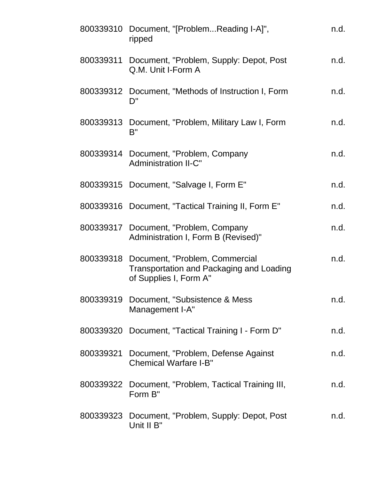|           | 800339310 Document, "[ProblemReading I-A]",<br>ripped                                                          | n.d. |
|-----------|----------------------------------------------------------------------------------------------------------------|------|
| 800339311 | Document, "Problem, Supply: Depot, Post<br>Q.M. Unit I-Form A                                                  | n.d. |
|           | 800339312 Document, "Methods of Instruction I, Form<br>D"                                                      | n.d. |
|           | 800339313 Document, "Problem, Military Law I, Form<br>B"                                                       | n.d. |
|           | 800339314 Document, "Problem, Company<br><b>Administration II-C"</b>                                           | n.d. |
|           | 800339315 Document, "Salvage I, Form E"                                                                        | n.d. |
|           | 800339316 Document, "Tactical Training II, Form E"                                                             | n.d. |
|           | 800339317 Document, "Problem, Company<br>Administration I, Form B (Revised)"                                   | n.d. |
|           | 800339318 Document, "Problem, Commercial<br>Transportation and Packaging and Loading<br>of Supplies I, Form A" | n.d. |
|           | 800339319 Document, "Subsistence & Mess<br>Management I-A"                                                     | n.d. |
|           | 800339320 Document, "Tactical Training I - Form D"                                                             | n.d. |
| 800339321 | Document, "Problem, Defense Against<br><b>Chemical Warfare I-B"</b>                                            | n.d. |
|           | 800339322 Document, "Problem, Tactical Training III,<br>Form B"                                                | n.d. |
|           | 800339323 Document, "Problem, Supply: Depot, Post<br>Unit II B"                                                | n.d. |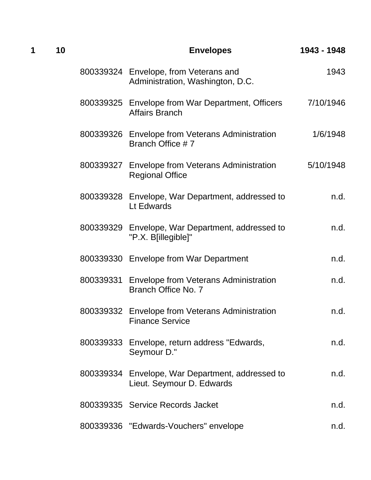| 1 | 10 |           | <b>Envelopes</b>                                                              | 1943 - 1948 |
|---|----|-----------|-------------------------------------------------------------------------------|-------------|
|   |    |           | 800339324 Envelope, from Veterans and<br>Administration, Washington, D.C.     | 1943        |
|   |    |           | 800339325 Envelope from War Department, Officers<br><b>Affairs Branch</b>     | 7/10/1946   |
|   |    |           | 800339326 Envelope from Veterans Administration<br>Branch Office #7           | 1/6/1948    |
|   |    |           | 800339327 Envelope from Veterans Administration<br><b>Regional Office</b>     | 5/10/1948   |
|   |    |           | 800339328 Envelope, War Department, addressed to<br>Lt Edwards                | n.d.        |
|   |    |           | 800339329 Envelope, War Department, addressed to<br>"P.X. B[illegible]"       | n.d.        |
|   |    |           | 800339330 Envelope from War Department                                        | n.d.        |
|   |    | 800339331 | <b>Envelope from Veterans Administration</b><br>Branch Office No. 7           | n.d.        |
|   |    |           | 800339332 Envelope from Veterans Administration<br><b>Finance Service</b>     | n.d.        |
|   |    |           | 800339333 Envelope, return address "Edwards,<br>Seymour D."                   | n.d.        |
|   |    |           | 800339334 Envelope, War Department, addressed to<br>Lieut. Seymour D. Edwards | n.d.        |
|   |    |           | 800339335 Service Records Jacket                                              | n.d.        |
|   |    |           | 800339336 "Edwards-Vouchers" envelope                                         | n.d.        |